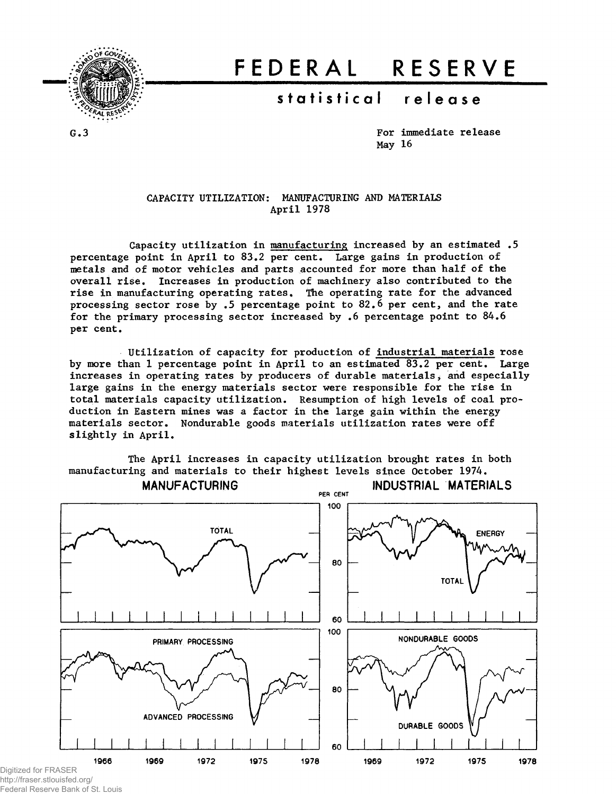

# FEDERA L RESERV E

# statistical release

G.3

For immediate release May 16

#### CAPACITY UTILIZATION: MANUFACTURING AND MATERIALS April 1978

Capacity utilization in manufacturing increased by an estimated .5 percentage point in April to 83.2 per cent. Large gains in production of metals and of motor vehicles and parts accounted for more than half of the overall rise. Increases in production of machinery also contributed to the rise in manufacturing operating rates. The operating rate for the advanced processing sector rose by .5 percentage point to 82.6 per cent, and the rate for the primary processing sector increased by .6 percentage point to 84.6 per cent.

Utilization of capacity for production of industrial materials rose by more than 1 percentage point in April to an estimated 83.2 per cent. Large increases in operating rates by producers of durable materials, and especially large gains in the energy materials sector were responsible for the rise in total materials capacity utilization. Resumption of high levels of coal production in Eastern mines was a factor in the large gain within the energy materials sector. Nondurable goods materials utilization rates were off slightly in April.

The April increases in capacity utilization brought rates in both manufacturing and materials to their highest levels since October 1974.



http://fraser.stlouisfed.org/ Federal Reserve Bank of St. Louis